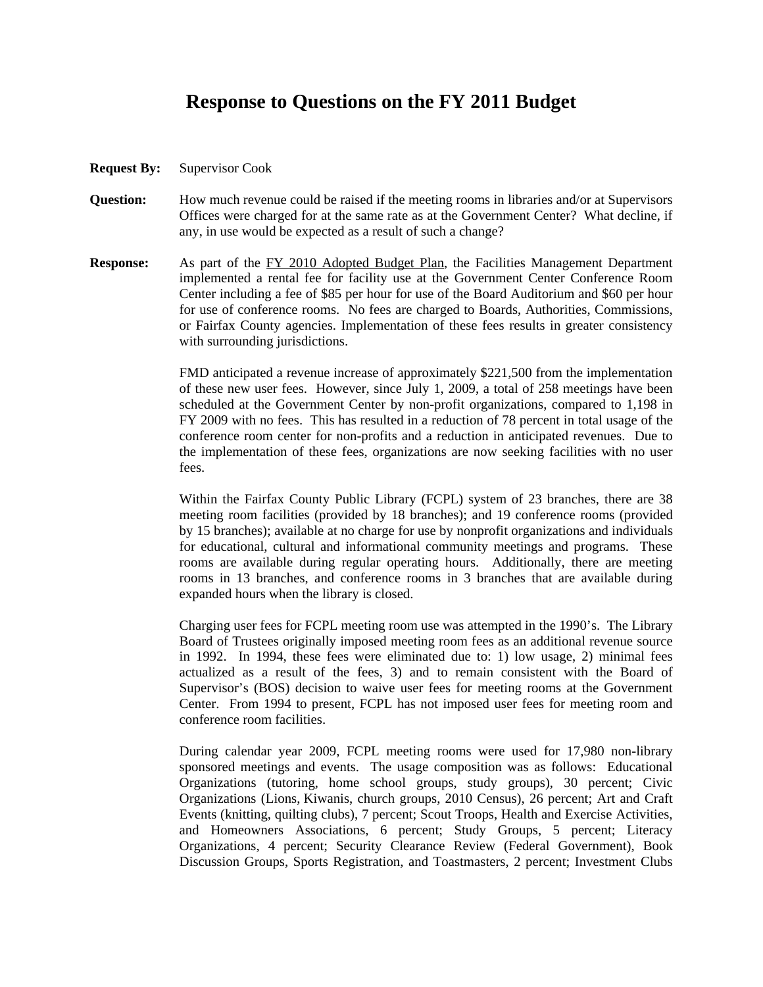## **Response to Questions on the FY 2011 Budget**

- **Request By:** Supervisor Cook
- **Question:** How much revenue could be raised if the meeting rooms in libraries and/or at Supervisors Offices were charged for at the same rate as at the Government Center? What decline, if any, in use would be expected as a result of such a change?
- **Response:** As part of the FY 2010 Adopted Budget Plan, the Facilities Management Department implemented a rental fee for facility use at the Government Center Conference Room Center including a fee of \$85 per hour for use of the Board Auditorium and \$60 per hour for use of conference rooms. No fees are charged to Boards, Authorities, Commissions, or Fairfax County agencies. Implementation of these fees results in greater consistency with surrounding jurisdictions.

 FMD anticipated a revenue increase of approximately \$221,500 from the implementation of these new user fees. However, since July 1, 2009, a total of 258 meetings have been scheduled at the Government Center by non-profit organizations, compared to 1,198 in FY 2009 with no fees. This has resulted in a reduction of 78 percent in total usage of the conference room center for non-profits and a reduction in anticipated revenues. Due to the implementation of these fees, organizations are now seeking facilities with no user fees.

 Within the Fairfax County Public Library (FCPL) system of 23 branches, there are 38 meeting room facilities (provided by 18 branches); and 19 conference rooms (provided by 15 branches); available at no charge for use by nonprofit organizations and individuals for educational, cultural and informational community meetings and programs. These rooms are available during regular operating hours. Additionally, there are meeting rooms in 13 branches, and conference rooms in 3 branches that are available during expanded hours when the library is closed.

 Charging user fees for FCPL meeting room use was attempted in the 1990's. The Library Board of Trustees originally imposed meeting room fees as an additional revenue source in 1992. In 1994, these fees were eliminated due to: 1) low usage, 2) minimal fees actualized as a result of the fees, 3) and to remain consistent with the Board of Supervisor's (BOS) decision to waive user fees for meeting rooms at the Government Center. From 1994 to present, FCPL has not imposed user fees for meeting room and conference room facilities.

 During calendar year 2009, FCPL meeting rooms were used for 17,980 non-library sponsored meetings and events. The usage composition was as follows: Educational Organizations (tutoring, home school groups, study groups), 30 percent; Civic Organizations (Lions, Kiwanis, church groups, 2010 Census), 26 percent; Art and Craft Events (knitting, quilting clubs), 7 percent; Scout Troops, Health and Exercise Activities, and Homeowners Associations, 6 percent; Study Groups, 5 percent; Literacy Organizations, 4 percent; Security Clearance Review (Federal Government), Book Discussion Groups, Sports Registration, and Toastmasters, 2 percent; Investment Clubs